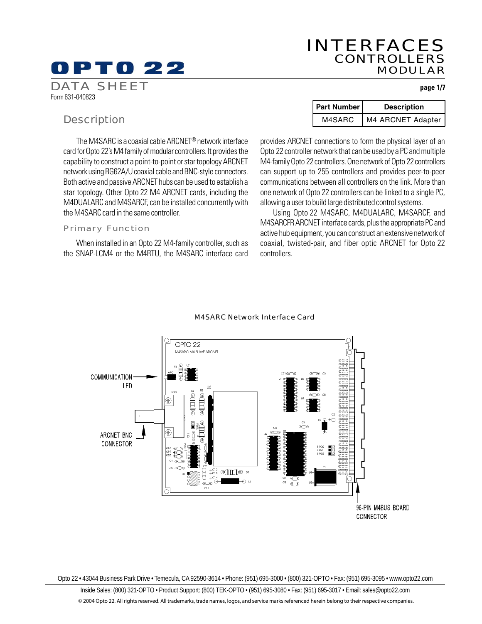# 0 P T 0 22

## INTERFACES CONTROLLERS MODULAR

**page 1/7**

## **Description**

Form 631-040823

DATA SHEET

The M4SARC is a coaxial cable ARCNET® network interface card for Opto 22's M4 family of modular controllers. It provides the capability to construct a point-to-point or star topology ARCNET network using RG62A/U coaxial cable and BNC-style connectors. Both active and passive ARCNET hubs can be used to establish a star topology. Other Opto 22 M4 ARCNET cards, including the M4DUALARC and M4SARCF, can be installed concurrently with the M4SARC card in the same controller.

### Primary Function

When installed in an Opto 22 M4-family controller, such as the SNAP-LCM4 or the M4RTU, the M4SARC interface card

| <b>Part Number</b> | <b>Description</b> |  |
|--------------------|--------------------|--|
| M4SARC             | M4 ARCNET Adapter  |  |

provides ARCNET connections to form the physical layer of an Opto 22 controller network that can be used by a PC and multiple M4-family Opto 22 controllers. One network of Opto 22 controllers can support up to 255 controllers and provides peer-to-peer communications between all controllers on the link. More than one network of Opto 22 controllers can be linked to a single PC, allowing a user to build large distributed control systems.

Using Opto 22 M4SARC, M4DUALARC, M4SARCF, and M4SARCFR ARCNET interface cards, plus the appropriate PC and active hub equipment, you can construct an extensive network of coaxial, twisted-pair, and fiber optic ARCNET for Opto 22 controllers.



### M4SARC Network Interface Card

Opto 22 • 43044 Business Park Drive • Temecula, CA 92590-3614 • Phone: (951) 695-3000 • (800) 321-OPTO • Fax: (951) 695-3095 • www.opto22.com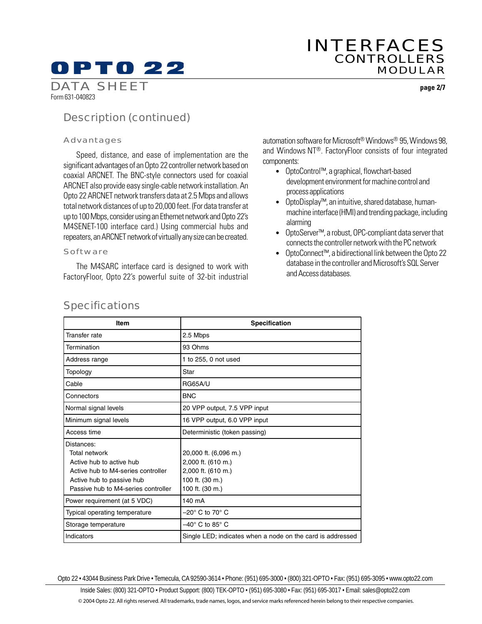**page 2/7**

## Description (continued)

### Advantages

Form 631-040823

DATA SHEET

Speed, distance, and ease of implementation are the significant advantages of an Opto 22 controller network based on coaxial ARCNET. The BNC-style connectors used for coaxial ARCNET also provide easy single-cable network installation. An Opto 22 ARCNET network transfers data at 2.5 Mbps and allows total network distances of up to 20,000 feet. (For data transfer at up to 100 Mbps, consider using an Ethernet network and Opto 22's M4SENET-100 interface card.) Using commercial hubs and repeaters, an ARCNET network of virtually any size can be created.

### **Software**

The M4SARC interface card is designed to work with FactoryFloor, Opto 22's powerful suite of 32-bit industrial automation software for Microsoft® Windows® 95, Windows 98, and Windows NT®. FactoryFloor consists of four integrated components:

- OptoControl™, a graphical, flowchart-based development environment for machine control and process applications
- OptoDisplay™, an intuitive, shared database, humanmachine interface (HMI) and trending package, including alarming
- OptoServer™, a robust, OPC-compliant data server that connects the controller network with the PC network
- OptoConnect™, a bidirectional link between the Opto 22 database in the controller and Microsoft's SQL Server and Access databases.

| Item                                                                                                                                                              | <b>Specification</b>                                                                                    |  |
|-------------------------------------------------------------------------------------------------------------------------------------------------------------------|---------------------------------------------------------------------------------------------------------|--|
| Transfer rate                                                                                                                                                     | 2.5 Mbps                                                                                                |  |
| Termination                                                                                                                                                       | 93 Ohms                                                                                                 |  |
| Address range                                                                                                                                                     | 1 to 255, 0 not used                                                                                    |  |
| Topology                                                                                                                                                          | Star                                                                                                    |  |
| Cable                                                                                                                                                             | <b>RG65A/U</b>                                                                                          |  |
| Connectors                                                                                                                                                        | <b>BNC</b>                                                                                              |  |
| Normal signal levels                                                                                                                                              | 20 VPP output, 7.5 VPP input                                                                            |  |
| Minimum signal levels                                                                                                                                             | 16 VPP output, 6.0 VPP input                                                                            |  |
| Access time                                                                                                                                                       | Deterministic (token passing)                                                                           |  |
| Distances:<br>Total network<br>Active hub to active hub<br>Active hub to M4-series controller<br>Active hub to passive hub<br>Passive hub to M4-series controller | 20,000 ft. (6,096 m.)<br>2,000 ft. (610 m.)<br>2,000 ft. (610 m.)<br>100 ft. (30 m.)<br>100 ft. (30 m.) |  |
| Power requirement (at 5 VDC)                                                                                                                                      | 140 mA                                                                                                  |  |
| Typical operating temperature                                                                                                                                     | $-20^\circ$ C to 70 $^\circ$ C                                                                          |  |
| Storage temperature                                                                                                                                               | $-40^\circ$ C to 85 $^\circ$ C                                                                          |  |
| Indicators                                                                                                                                                        | Single LED; indicates when a node on the card is addressed                                              |  |

### **Specifications**

Opto 22 • 43044 Business Park Drive • Temecula, CA 92590-3614 • Phone: (951) 695-3000 • (800) 321-OPTO • Fax: (951) 695-3095 • www.opto22.com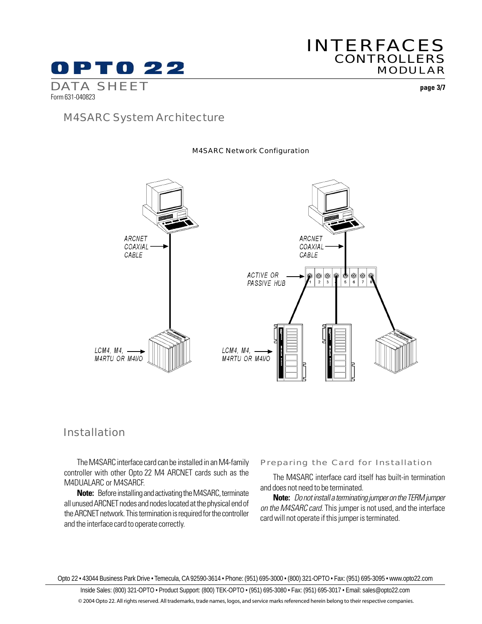

## INTERFACES **CONTROLLERS** MODULAR

**page 3/7**

### M4SARC System Architecture

### ARCNET ARCNET COAXIAL COAXIAL CABLE CABLE ACTIVE OR  $| \circledcirc |$  $\circledcirc$ O  $^{\circledR}$ PASSIVE HUB  $\frac{1}{2}$  $\overline{3}$ LCM4, M4, LCM4, M4, M4RTU OR M4I/O M4RTU OR M4I/O

### M4SARC Network Configuration

### Installation

The M4SARC interface card can be installed in an M4-family controller with other Opto 22 M4 ARCNET cards such as the M4DUALARC or M4SARCF.

**Note:** Before installing and activating the M4SARC, terminate all unused ARCNET nodes and nodes located at the physical end of the ARCNET network. This termination is required for the controller and the interface card to operate correctly.

#### Preparing the Card for Installation

The M4SARC interface card itself has built-in termination and does not need to be terminated.

**Note:** Do not install a terminating jumper on the TERM jumper on the M4SARC card. This jumper is not used, and the interface card will not operate if this jumper is terminated.

Opto 22 • 43044 Business Park Drive • Temecula, CA 92590-3614 • Phone: (951) 695-3000 • (800) 321-OPTO • Fax: (951) 695-3095 • www.opto22.com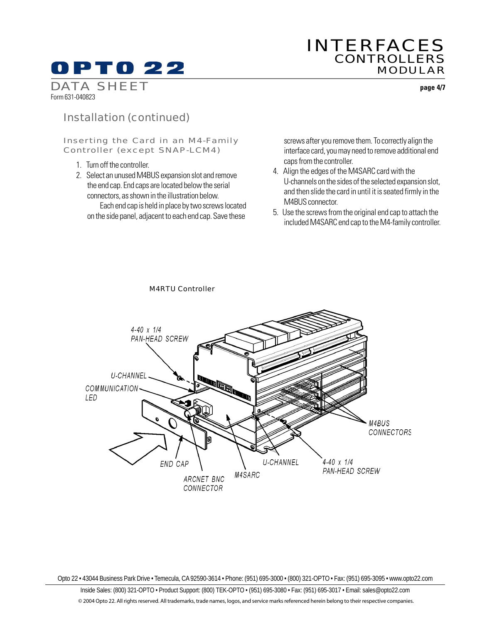## INTERFACES **CONTROLLERS** MODULAR

**page 4/7**

DATA SHEET Form 631-040823

## Installation (continued)

### Inserting the Card in an M4-Family Controller (except SNAP-LCM4)

- 1. Turn off the controller.
- 2. Select an unused M4BUS expansion slot and remove the end cap. End caps are located below the serial connectors, as shown in the illustration below.

Each end cap is held in place by two screws located on the side panel, adjacent to each end cap. Save these

screws after you remove them. To correctly align the interface card, you may need to remove additional end caps from the controller.

- 4. Align the edges of the M4SARC card with the U-channels on the sides of the selected expansion slot, and then slide the card in until it is seated firmly in the M4BUS connector.
- 5. Use the screws from the original end cap to attach the included M4SARC end cap to the M4-family controller.



### M4RTU Controller

Opto 22 • 43044 Business Park Drive • Temecula, CA 92590-3614 • Phone: (951) 695-3000 • (800) 321-OPTO • Fax: (951) 695-3095 • www.opto22.com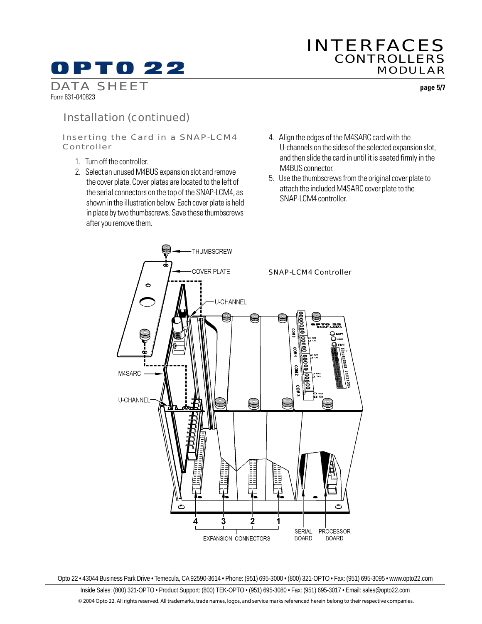## INTERFACES **CONTROLLERS** MODULAR

DATA SHEET Form 631-040823

Installation (continued)

Inserting the Card in a SNAP-LCM4 Controller

- 1. Turn off the controller.
- 2. Select an unused M4BUS expansion slot and remove the cover plate. Cover plates are located to the left of the serial connectors on the top of the SNAP-LCM4, as shown in the illustration below. Each cover plate is held in place by two thumbscrews. Save these thumbscrews after you remove them.
- 4. Align the edges of the M4SARC card with the U-channels on the sides of the selected expansion slot, and then slide the card in until it is seated firmly in the M4BUS connector.
- 5. Use the thumbscrews from the original cover plate to attach the included M4SARC cover plate to the SNAP-LCM4 controller.



Opto 22 • 43044 Business Park Drive • Temecula, CA 92590-3614 • Phone: (951) 695-3000 • (800) 321-OPTO • Fax: (951) 695-3095 • www.opto22.com

Inside Sales: (800) 321-OPTO • Product Support: (800) TEK-OPTO • (951) 695-3080 • Fax: (951) 695-3017 • Email: sales@opto22.com © 2004 Opto 22. All rights reserved. All trademarks, trade names, logos, and service marks referenced herein belong to their respective companies.

**page 5/7**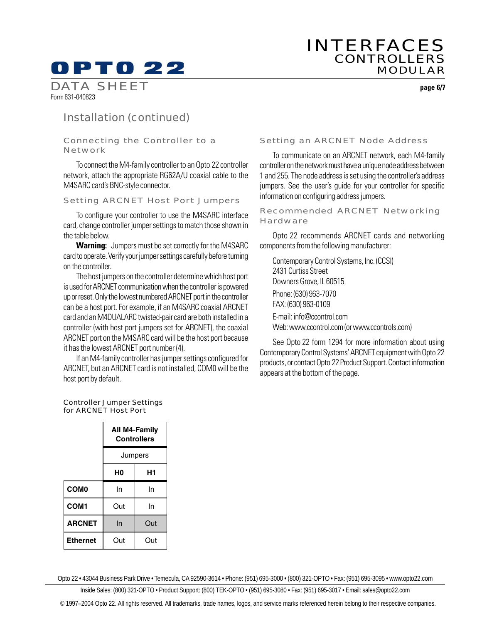**page 6/7**

DATA SHEET Form 631-040823

## Installation (continued)

### Connecting the Controller to a Network

To connect the M4-family controller to an Opto 22 controller network, attach the appropriate RG62A/U coaxial cable to the M4SARC card's BNC-style connector.

### Setting ARCNET Host Port Jumpers

To configure your controller to use the M4SARC interface card, change controller jumper settings to match those shown in the table below.

**Warning:** Jumpers must be set correctly for the M4SARC card to operate. Verify your jumper settings carefully before turning on the controller.

The host jumpers on the controller determine which host port is used for ARCNET communication when the controller is powered up or reset. Only the lowest numbered ARCNET port in the controller can be a host port. For example, if an M4SARC coaxial ARCNET card and an M4DUALARC twisted-pair card are both installed in a controller (with host port jumpers set for ARCNET), the coaxial ARCNET port on the M4SARC card will be the host port because it has the lowest ARCNET port number (4).

If an M4-family controller has jumper settings configured for ARCNET, but an ARCNET card is not installed, COM0 will be the host port by default.

### Setting an ARCNET Node Address

To communicate on an ARCNET network, each M4-family controller on the network must have a unique node address between 1 and 255. The node address is set using the controller's address jumpers. See the user's guide for your controller for specific information on configuring address jumpers.

### Recommended ARCNET Networking **Hardware**

Opto 22 recommends ARCNET cards and networking components from the following manufacturer:

Contemporary Control Systems, Inc. (CCSI) 2431 Curtiss Street Downers Grove, IL 60515 Phone: (630) 963-7070 FAX: (630) 963-0109 E-mail: info@ccontrol.com Web: www.ccontrol.com (or www.ccontrols.com)

See Opto 22 form 1294 for more information about using Contemporary Control Systems' ARCNET equipment with Opto 22 products, or contact Opto 22 Product Support. Contact information appears at the bottom of the page.

#### Controller Jumper Settings for ARCNET Host Port

|                  | All M4-Family<br><b>Controllers</b><br>Jumpers |     |
|------------------|------------------------------------------------|-----|
|                  |                                                |     |
|                  | H0                                             | Η1  |
| <b>COMO</b>      | In                                             | In  |
| COM <sub>1</sub> | Out                                            | In  |
| <b>ARCNET</b>    | In                                             | Out |
| <b>Ethernet</b>  | Out                                            | Out |

Opto 22 • 43044 Business Park Drive • Temecula, CA 92590-3614 • Phone: (951) 695-3000 • (800) 321-OPTO • Fax: (951) 695-3095 • www.opto22.com

Inside Sales: (800) 321-OPTO • Product Support: (800) TEK-OPTO • (951) 695-3080 • Fax: (951) 695-3017 • Email: sales@opto22.com

© 1997–2004 Opto 22. All rights reserved. All trademarks, trade names, logos, and service marks referenced herein belong to their respective companies.